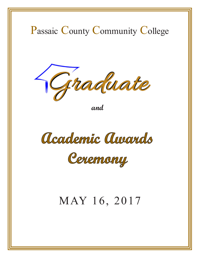

**and** 

Academic Augurds

Ceremony

# MAY 16, 2017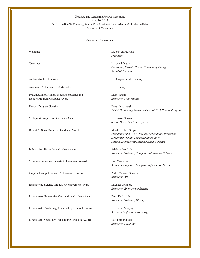Dr. Jacqueline W. Kineavy, Senior Vice President for Academic & Student Affairs Mistress of Ceremony Graduate and Academic Awards Ceremony May 16, 2017

Academic Processional

Academic Achievement Certificates Dr. Kineavy

Presentation of Honors Program Students and Marc Yeung Honors Program Graduate Award *Instructor, Mathematics* 

Honors Program Speaker Zenya Koprowski

College Writing Exam Graduate Award Dr. Bassel Stassis

Robert A. Shea Memorial Graduate Award Merille Ruben Siegel

Information Technology Graduate Award Adeleye Bamkole

Computer Science Graduate Achievement Award Eric Cameron

Graphic Design Graduate Achievement Award Ardra Vanessa Spector

Engineering Science Graduate Achievement Award Michael Grinberg

Liberal Arts Humanities Outstanding Graduate Award Petar Drakulich

Liberal Arts Psychology Outstanding Graduate Award Dr. Lonna Murphy

Liberal Arts Sociology Outstanding Graduate Award Kasandra Pantoja

Welcome Dr. Steven M. Rose *President*

**President** Greetings Harvey J. Nutter **Board of Trustees** *Chairman, Passaic County Community College Chairman, Passaic County Community College*

*Board of Trustees* Address to the Honorees Dr. Jacqueline W. Kineavy

Honors Program Graduate Award *Instructor, Mathematics*  $\Gamma$  CCC Gramming Se *PCCC Graduating Student – Class of 2017 Honors Program*

*PCCC Graduating Student – Class of 2016 Honors Program Senior Dean, Academic Affairs*

College Writing Exam Graduate Award Dr. Bassel Stassis **Merille Ruben Siegel** Computer and Information Sciences Eric Cameron *Department Chair-Computer Information* Graduate Achievement Awards *Associate Professor, Computer Information Sciences Science/Engineering Science/Graphic Design President of the PCCC Faculty Association; Professor,*

*Associate Professor, Computer Information Science* 

Graphic Design Graduate Achievement Award Ardra Vanessa Spector *Associate Professor, Computer Information Science*

Instructor, Art

*Instructor, Engineering Science* 

Michael Walker *Associate Professor, History*

Liberal Arts Humanities Outstanding Graduate Award Petar Drakulich *Assistant Professor, Psychology*

*Instructor, Sociology*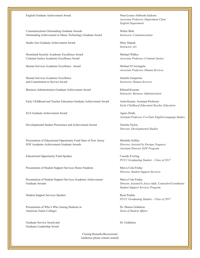#### English Graduate Achievement Award Nina-Louise Alsbrook-Jackson

Communications Outstanding Graduate Awards Walter Behr Outstanding Achievement in Music Technology Graduate Award

Studio Arts Graduate Achievement Award Mary Dajnak

Criminal Justice Academic Excellence Award *Associate Professor, Criminal Justice* Homeland Security Academic Excellence Award

Human Services Academic Excellence Award Michael D'Arcangelo

and Commitment to Service Award *Instructor, Human Services* Human Services Academic Excellence Jennifer Gasparino

Business Administration Graduate Achievement Award Khloud Kourani

Early Childhood and Teacher Education Graduate Achievement Award

ELS Graduate Achievement Award Agnes Drath,

Developmental Studies Persistence and Achievement Award Tonisha Taylor,

EOF Academic Achievement Graduate Awards Presentation of Educational Opportunity Fund State of New Jersey Michelle Softley

Educational Opportunity Fund Speaker **Narva Cole-Friday Cole-Friday** Cassidy Evering

Presentation of Student Support Services Honor Students Marva Cole-Friday

Graduate Awards Presentation of Student Support Services Academic Achievement Marva Cole-Friday

Presentation of Who's Who Among Students in Dr. Sharon Goldstein Student Support Services Speaker Ryan Puebla

American Junior Colleges **Dean of Student Affairs** *Dean of Student Affairs* Presentation of Who's Who Among Students in Dr. Sharon Goldstein

Graduate Service Award and Dr. Goldstein Contact Service Award and Dr. Goldstein Graduate Leadership Award

 $E$ ngusn De *Associate Professor, Department Chair English Department*

Instructor, Communications

 $M$ candemic Excellence and Commitment to Service Density  $R$ *Instructor, Art*

*Michael Walker* 

Business Administration Graduate Achievement Award Dr. Lucia Gheorghiu *Associate Professor, Human Services*

English Graduate Achievement Award Nina-Louise Alsbrook-Jackson *Instructor, Business Administration*

Anita Kumar, Assistant Professor *Early Childhood Education/Teacher Education*

Early Childhood and Teacher Education Graduate Achievement Award Linda Carter *Assistant Professor, Co-Chair English Language Studies*

*Director, Developmental Studies* 

*PCCCCL Assistant Director EOF Program* EOF Academic Achievement Graduate Awards *Director, Assisted by Enrique Noguera,*

*PCCC Graduating Student – Class of 2017* 

Graduate Awards *Assisted by Joyce Addo, Counselor/Coordinator Director, Student Support Services*

*PCCC Graduating Student – Class of 2016 Student Support Services Program* Director, Assisted by Joyce Addo, Counselor/Coordinator

**PCCC Graduating Student – Class of 2017** 

Closing Remarks/Recessional (audience please remain seated)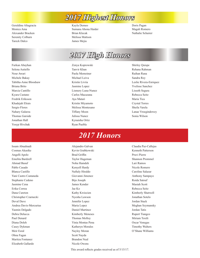#### *2017 Highest Honors*

Geraldine Altagracia Monica Ama Alexander Bracken Serenity Colburn Tareck Dalco

Kayla Demeo Sumana Ahona Haider Brian Klecak Melissa Mattson James Mejia

### *2017 High Honors*

Selena Autiello Nour Awari Michele Bakay Tabitha-Anne Bloodsaw Briana Brito Marcia Cantillo Kyara Castano Fredrik Eriksson Khadejah Elrais Sergio Flores Nahary Galarza Thomas Garside Jonathan Hall Yosyp Hivchak

Zenya Koprowski Tanvir Khan Paola Memoiner Michael Leiva Kristin Livria Jasmine Lopez Lismery Luna-Nunez Carlos Macazana Aya Matari Kristin Miyamoto Melissa Montesano Tiffany Moon Julissa Nunez Kynaisha Ortiz Ryan Puebla

Shirley Quispe Rehana Rahman Raihan Rana Sandra Rey Leslie Rivera-Enriquez Yvelisse Sanchez Lisseth Segura Rebecca Seitz Maria Tica Crystal Torres Sheila Varela Lanae Vroegindewey Sonia Wilson

### *2017 Honors*

Alejandro Galvan Kevin Grabkowski Brad Griffin Taylor Hageman Noha Hamdeh Kenyell Hardy Naftaly Hiraldo Giovanni Jimenez Bijo Joseph James Kender Jae Ko Kathy Kwiecien Nyesha Lawson Jennifer Lopez Maria Lopez Daniel Martinez Kimberly Meneses Thomas Molloy Yinia Montas Pena Katheryn Morales Nayley Moran Scott Nayda Brandon Neal Nicole Owens

Claudia Paz-Callejas Kenneth Patterson Pruvi Pierre Shannon Prommel Lari Ramos Nicole Romero Caroline Salazar Anthony Sampayo Roida Satouf Masiah Scott Rebecca Seitz Kimberly Shatwell Jonathan Sotelo Jordan Stack Meghan Szymansky Jordan Tatis Rupert Tiangco Miriam Toxtli Oscar Venegas Timothy Walters O'Shane Williams

This award reflects grades received as of 5/15/17.

Issam Abualnadi Cosmas Akasike Angelli Apolo Emelita Bardzell Ahmad Basuf Pablo Casado Blanca Castillo Yani Castro Castaneda Stephanie Cedeno Jasmine Cena Erika Correa Dana Cureton Christopher Czarnecki Deval Dave Andrea Davis-Mercurius Yasmin Delgado Debra Delucca Paul Denard Diana Doleh Casey Dykman Meir Esral Ohna Fagan Maritza Fontanez Elizabeth Gallardo

Furkan Abayhan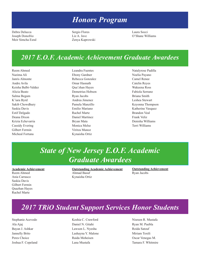#### *Honors Program*

Debra Delucca Joseph Donofrio Meir Simcha Esral Sergio Flores Liz A. Jave Zenya Kaprowski Laura Socci O'Shane Williams

#### *2017 E.O.F. Academic Achievement Graduate Awardees*

Reem Ahmed Nazima Ali Janris Almonte Andre Avila Keisha Balbi-Valdez Alicia Beato Salma Begum K'iara Byrd Sakib Chowdhury Saskia Davis Estif Delgado Deana Dixon Krizia Echevarria Cassidy Evering Gilbert Fermin Micheal Fortuna

Leandra Fuentes Ebony Gardner Rebecca Gonzalez Omar Hasnath Qua'zhan Hayes Demetrius Hobson Ryan Jacobs Andrea Jimenez Pamela Manzillo Emilio Mariano Rachel Marte Daniel Martinez Bryan Mata Monica Melse Viritza Munoz Kynaisha Ortiz

Natalyrose Padilla Noelia Payano Camel Renee Catelin Reyes Wakeena Ross Fabiola Serrano Briana Smith Leshea Stewart Keyonna Thompson Katherine Vasquez Brandon Veal Frank Veliz Denisha Williams Terri Williams

#### *State of New Jersey E.O.F. Academic Graduate Awardees*

#### **Academic Achievement**

Reem Ahmed Ania Carrasco Saskia Davis Gilbert Fermin Quazhan Hayes Rachel Marte

**Outstanding Academic Achievement** Ahmad Basuf Kynaisha Ortiz

**Outstanding Achievement** Ryan Jacobs

#### *2017 TRiO Student Support Services Honor Students*

Stephanie Acevedo Ala Ajaj Bayan J. Ashkar Jannelly Brito Peres Choice Joshua F. Copeland Keshia C. Crawford Daniel N. Gitahi Lawson L. Nyesha Lashayna Y. Malone Raida Moheisen Lana Mustafa

Nisreen R. Mustafa Ryan M. Puebla Roida Satouf Miriam Toxtli Oscar Venegas M. Tamara F. Whitmire